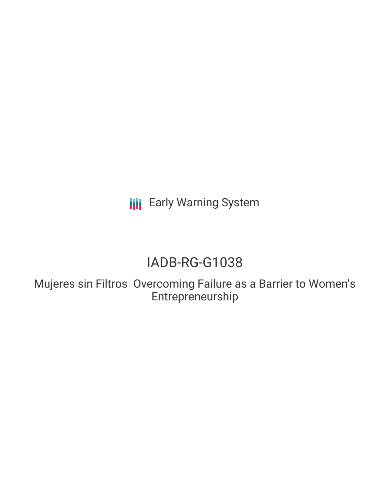**III** Early Warning System

# IADB-RG-G1038

Mujeres sin Filtros Overcoming Failure as a Barrier to Women's Entrepreneurship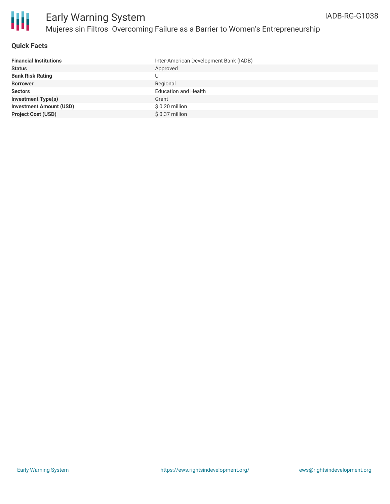

## **Quick Facts**

| <b>Financial Institutions</b>  | Inter-American Development Bank (IADB) |
|--------------------------------|----------------------------------------|
| <b>Status</b>                  | Approved                               |
| <b>Bank Risk Rating</b>        | U                                      |
| <b>Borrower</b>                | Regional                               |
| <b>Sectors</b>                 | <b>Education and Health</b>            |
| <b>Investment Type(s)</b>      | Grant                                  |
| <b>Investment Amount (USD)</b> | \$ 0.20 million                        |
| <b>Project Cost (USD)</b>      | \$ 0.37 million                        |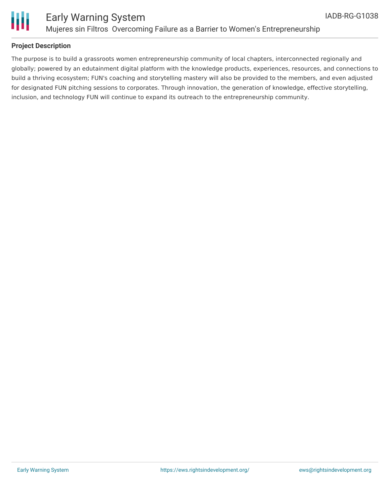



## **Project Description**

The purpose is to build a grassroots women entrepreneurship community of local chapters, interconnected regionally and globally; powered by an edutainment digital platform with the knowledge products, experiences, resources, and connections to build a thriving ecosystem; FUN's coaching and storytelling mastery will also be provided to the members, and even adjusted for designated FUN pitching sessions to corporates. Through innovation, the generation of knowledge, effective storytelling, inclusion, and technology FUN will continue to expand its outreach to the entrepreneurship community.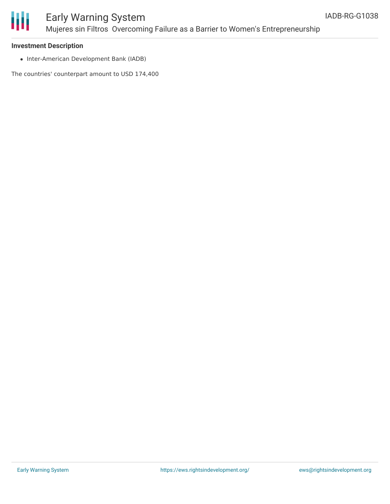

### **Investment Description**

• Inter-American Development Bank (IADB)

The countries' counterpart amount to USD 174,400